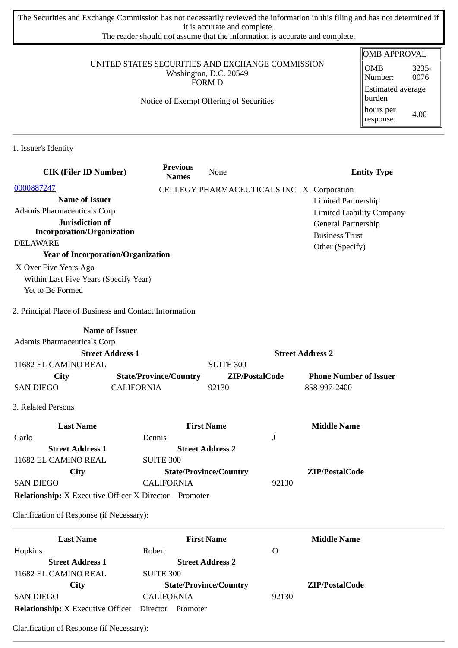The Securities and Exchange Commission has not necessarily reviewed the information in this filing and has not determined if it is accurate and complete.

The reader should not assume that the information is accurate and complete.

#### UNITED STATES SECURITIES AND EXCHANGE COMMISSION Washington, D.C. 20549 FORM D

#### Notice of Exempt Offering of Securities

| <b>OMB APPROVAL</b>                |               |  |  |
|------------------------------------|---------------|--|--|
| OMB<br>Number:                     | 3235-<br>0076 |  |  |
| <b>Estimated average</b><br>burden |               |  |  |
| hours per<br>response:             | 4.00          |  |  |

1. Issuer's Identity

| <b>CIK (Filer ID Number)</b>                                 | <b>Previous</b><br><b>Names</b> | None                                      | <b>Entity Type</b>               |
|--------------------------------------------------------------|---------------------------------|-------------------------------------------|----------------------------------|
| 0000887247                                                   |                                 | CELLEGY PHARMACEUTICALS INC X Corporation |                                  |
| <b>Name of Issuer</b>                                        |                                 |                                           | <b>Limited Partnership</b>       |
| Adamis Pharmaceuticals Corp                                  |                                 |                                           | <b>Limited Liability Company</b> |
| Jurisdiction of                                              |                                 |                                           | General Partnership              |
| <b>Incorporation/Organization</b><br><b>DELAWARE</b>         |                                 |                                           | <b>Business Trust</b>            |
| <b>Year of Incorporation/Organization</b>                    |                                 |                                           | Other (Specify)                  |
|                                                              |                                 |                                           |                                  |
| X Over Five Years Ago                                        |                                 |                                           |                                  |
| Within Last Five Years (Specify Year)<br>Yet to Be Formed    |                                 |                                           |                                  |
| 2. Principal Place of Business and Contact Information       |                                 |                                           |                                  |
|                                                              | <b>Name of Issuer</b>           |                                           |                                  |
| Adamis Pharmaceuticals Corp                                  |                                 |                                           |                                  |
|                                                              | <b>Street Address 1</b>         |                                           | <b>Street Address 2</b>          |
| 11682 EL CAMINO REAL                                         |                                 | <b>SUITE 300</b>                          |                                  |
| <b>City</b>                                                  | <b>State/Province/Country</b>   | ZIP/PostalCode                            | <b>Phone Number of Issuer</b>    |
| <b>SAN DIEGO</b>                                             | <b>CALIFORNIA</b>               | 92130                                     | 858-997-2400                     |
| 3. Related Persons                                           |                                 |                                           |                                  |
| <b>Last Name</b>                                             |                                 | <b>First Name</b>                         | <b>Middle Name</b>               |
| Carlo                                                        | Dennis                          | J                                         |                                  |
| <b>Street Address 1</b>                                      |                                 | <b>Street Address 2</b>                   |                                  |
| 11682 EL CAMINO REAL                                         | <b>SUITE 300</b>                |                                           |                                  |
| City                                                         |                                 | <b>State/Province/Country</b>             | ZIP/PostalCode                   |
| <b>SAN DIEGO</b>                                             | <b>CALIFORNIA</b>               | 92130                                     |                                  |
| <b>Relationship:</b> X Executive Officer X Director Promoter |                                 |                                           |                                  |
| Clarification of Response (if Necessary):                    |                                 |                                           |                                  |
| <b>Last Name</b>                                             |                                 | <b>First Name</b>                         | <b>Middle Name</b>               |
| Hopkins                                                      | Robert                          | $\Omega$                                  |                                  |
| <b>Street Address 1</b>                                      |                                 | <b>Street Address 2</b>                   |                                  |
| 11682 EL CAMINO REAL                                         | <b>SUITE 300</b>                |                                           |                                  |
| City                                                         |                                 | <b>State/Province/Country</b>             | ZIP/PostalCode                   |
| <b>SAN DIEGO</b>                                             | <b>CALIFORNIA</b>               | 92130                                     |                                  |

**Relationship:** X Executive Officer Director Promoter

Clarification of Response (if Necessary):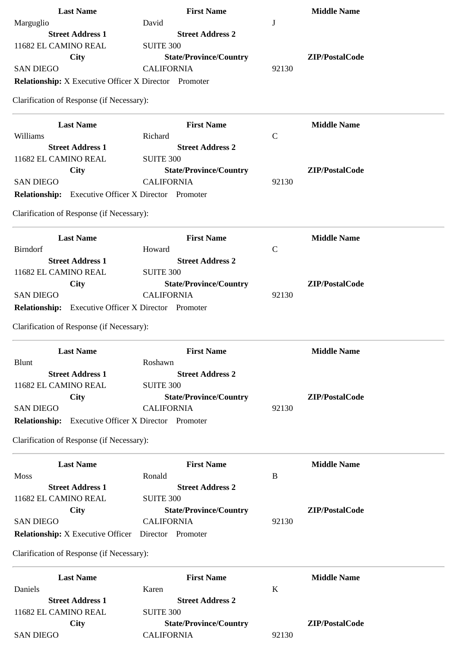| <b>Last Name</b>                                                                 | <b>First Name</b>                                  | <b>Middle Name</b>      |
|----------------------------------------------------------------------------------|----------------------------------------------------|-------------------------|
| Marguglio                                                                        | David                                              | J                       |
| <b>Street Address 1</b>                                                          | <b>Street Address 2</b>                            |                         |
| 11682 EL CAMINO REAL                                                             | <b>SUITE 300</b>                                   |                         |
| <b>City</b>                                                                      | <b>State/Province/Country</b>                      | ZIP/PostalCode          |
| <b>SAN DIEGO</b>                                                                 | <b>CALIFORNIA</b>                                  | 92130                   |
| <b>Relationship:</b> X Executive Officer X Director Promoter                     |                                                    |                         |
| Clarification of Response (if Necessary):                                        |                                                    |                         |
| <b>Last Name</b>                                                                 | <b>First Name</b>                                  | <b>Middle Name</b>      |
| Williams                                                                         | Richard                                            | $\mathsf{C}$            |
| <b>Street Address 1</b>                                                          | <b>Street Address 2</b>                            |                         |
| 11682 EL CAMINO REAL                                                             | <b>SUITE 300</b>                                   |                         |
| <b>City</b>                                                                      | <b>State/Province/Country</b>                      | ZIP/PostalCode          |
| <b>SAN DIEGO</b>                                                                 | <b>CALIFORNIA</b>                                  | 92130                   |
| <b>Relationship:</b> Executive Officer X Director Promoter                       |                                                    |                         |
| Clarification of Response (if Necessary):                                        |                                                    |                         |
| <b>Last Name</b>                                                                 | <b>First Name</b>                                  | <b>Middle Name</b>      |
| <b>Birndorf</b>                                                                  | Howard                                             | $\mathsf{C}$            |
| <b>Street Address 1</b>                                                          | <b>Street Address 2</b>                            |                         |
| 11682 EL CAMINO REAL                                                             | <b>SUITE 300</b>                                   |                         |
| <b>City</b>                                                                      | <b>State/Province/Country</b>                      | ZIP/PostalCode          |
| <b>SAN DIEGO</b>                                                                 | <b>CALIFORNIA</b>                                  | 92130                   |
| Relationship: Executive Officer X Director Promoter                              |                                                    |                         |
|                                                                                  |                                                    |                         |
| Clarification of Response (if Necessary):                                        |                                                    |                         |
|                                                                                  |                                                    |                         |
| <b>Last Name</b>                                                                 | <b>First Name</b>                                  | <b>Middle Name</b>      |
| <b>Blunt</b>                                                                     | Roshawn                                            |                         |
| <b>Street Address 1</b>                                                          | <b>Street Address 2</b>                            |                         |
| 11682 EL CAMINO REAL                                                             | <b>SUITE 300</b>                                   |                         |
| City                                                                             | <b>State/Province/Country</b>                      | ZIP/PostalCode          |
| <b>SAN DIEGO</b>                                                                 | <b>CALIFORNIA</b>                                  | 92130                   |
| Relationship: Executive Officer X Director Promoter                              |                                                    |                         |
| Clarification of Response (if Necessary):                                        |                                                    |                         |
| <b>Last Name</b>                                                                 |                                                    | <b>Middle Name</b>      |
|                                                                                  | <b>First Name</b>                                  |                         |
| <b>Moss</b>                                                                      | Ronald                                             | $\bf{B}$                |
| <b>Street Address 1</b>                                                          | <b>Street Address 2</b>                            |                         |
| 11682 EL CAMINO REAL                                                             | <b>SUITE 300</b>                                   | ZIP/PostalCode          |
| <b>City</b>                                                                      | <b>State/Province/Country</b>                      |                         |
| <b>SAN DIEGO</b><br><b>Relationship:</b> X Executive Officer  Director  Promoter | <b>CALIFORNIA</b>                                  | 92130                   |
| Clarification of Response (if Necessary):                                        |                                                    |                         |
|                                                                                  |                                                    |                         |
| <b>Last Name</b>                                                                 | <b>First Name</b>                                  | <b>Middle Name</b>      |
| Daniels                                                                          | Karen                                              | K                       |
| <b>Street Address 1</b>                                                          | <b>Street Address 2</b>                            |                         |
| 11682 EL CAMINO REAL                                                             | <b>SUITE 300</b>                                   |                         |
| City<br><b>SAN DIEGO</b>                                                         | <b>State/Province/Country</b><br><b>CALIFORNIA</b> | ZIP/PostalCode<br>92130 |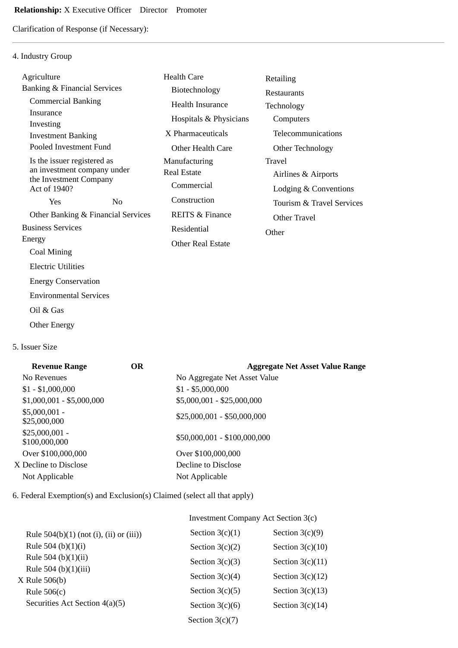Clarification of Response (if Necessary):

### 4. Industry Group

| Agriculture                                           |                                    | <b>Health Care</b>         | Retailing                 |
|-------------------------------------------------------|------------------------------------|----------------------------|---------------------------|
| Banking & Financial Services                          |                                    | Biotechnology              | <b>Restaurants</b>        |
| <b>Commercial Banking</b>                             |                                    | <b>Health Insurance</b>    | Technology                |
| Insurance                                             |                                    | Hospitals & Physicians     | Computers                 |
| Investing<br><b>Investment Banking</b>                |                                    | X Pharmaceuticals          | Telecommunications        |
| Pooled Investment Fund                                |                                    | Other Health Care          | Other Technology          |
| Is the issuer registered as                           |                                    | Manufacturing              | Travel                    |
| an investment company under<br>the Investment Company |                                    | <b>Real Estate</b>         | Airlines & Airports       |
| Act of 1940?                                          |                                    | Commercial                 | Lodging & Conventions     |
| Yes                                                   | N <sub>0</sub>                     | Construction               | Tourism & Travel Services |
|                                                       | Other Banking & Financial Services | <b>REITS &amp; Finance</b> | Other Travel              |
| <b>Business Services</b>                              |                                    | Residential                | Other                     |
| Energy                                                |                                    | Other Real Estate          |                           |
| Coal Mining                                           |                                    |                            |                           |
| <b>Electric Utilities</b>                             |                                    |                            |                           |
| <b>Energy Conservation</b>                            |                                    |                            |                           |
| <b>Environmental Services</b>                         |                                    |                            |                           |
| Oil & Gas                                             |                                    |                            |                           |

Other Energy

5. Issuer Size

| <b>Revenue Range</b>             | <b>OR</b> | <b>Aggregate Net Asset Value Range</b> |
|----------------------------------|-----------|----------------------------------------|
| No Revenues                      |           | No Aggregate Net Asset Value           |
| $$1 - $1,000,000$                |           | $$1 - $5,000,000$                      |
| $$1,000,001 - $5,000,000$        |           | \$5,000,001 - \$25,000,000             |
| $$5,000,001 -$<br>\$25,000,000   |           | $$25,000,001 - $50,000,000$            |
| $$25,000,001 -$<br>\$100,000,000 |           | \$50,000,001 - \$100,000,000           |
| Over \$100,000,000               |           | Over \$100,000,000                     |
| X Decline to Disclose            |           | Decline to Disclose                    |
| Not Applicable                   |           | Not Applicable                         |
|                                  |           |                                        |

6. Federal Exemption(s) and Exclusion(s) Claimed (select all that apply)

## Investment Company Act Section 3(c)

| Rule $504(b)(1)$ (not (i), (ii) or (iii)) | Section $3(c)(1)$ | Section $3(c)(9)$  |
|-------------------------------------------|-------------------|--------------------|
| Rule 504 (b) $(1)(i)$                     | Section $3(c)(2)$ | Section $3(c)(10)$ |
| Rule 504 (b) $(1)(ii)$                    | Section $3(c)(3)$ | Section $3(c)(11)$ |
| Rule 504 (b)(1)(iii)                      | Section $3(c)(4)$ | Section $3(c)(12)$ |
| $X$ Rule 506(b)<br>Rule $506(c)$          | Section $3(c)(5)$ | Section $3(c)(13)$ |
| Securities Act Section 4(a)(5)            | Section $3(c)(6)$ | Section $3(c)(14)$ |
|                                           | Section $3(c)(7)$ |                    |
|                                           |                   |                    |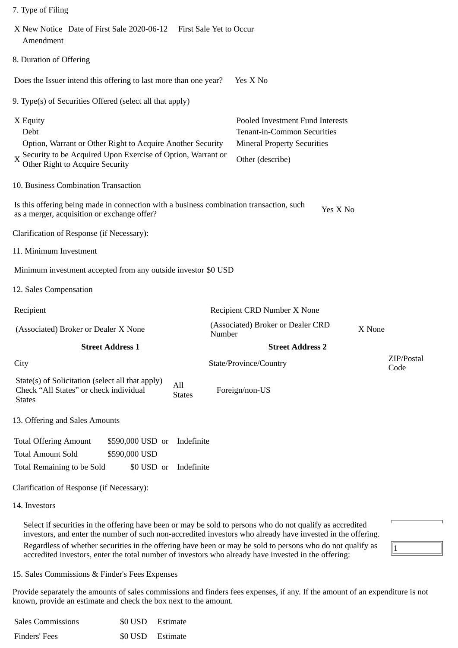| 7. Type of Filing                                                                                                                                                                            |                                                                                                                                  |                    |
|----------------------------------------------------------------------------------------------------------------------------------------------------------------------------------------------|----------------------------------------------------------------------------------------------------------------------------------|--------------------|
| X New Notice Date of First Sale 2020-06-12<br>First Sale Yet to Occur<br>Amendment                                                                                                           |                                                                                                                                  |                    |
| 8. Duration of Offering                                                                                                                                                                      |                                                                                                                                  |                    |
| Does the Issuer intend this offering to last more than one year?                                                                                                                             | Yes X No                                                                                                                         |                    |
| 9. Type(s) of Securities Offered (select all that apply)                                                                                                                                     |                                                                                                                                  |                    |
| X Equity<br>Debt<br>Option, Warrant or Other Right to Acquire Another Security<br>$X \cong X$ Security to be Acquired Upon Exercise of Option, Warrant or<br>Other Right to Acquire Security | Pooled Investment Fund Interests<br><b>Tenant-in-Common Securities</b><br><b>Mineral Property Securities</b><br>Other (describe) |                    |
| 10. Business Combination Transaction                                                                                                                                                         |                                                                                                                                  |                    |
| Is this offering being made in connection with a business combination transaction, such<br>as a merger, acquisition or exchange offer?                                                       | Yes X No                                                                                                                         |                    |
| Clarification of Response (if Necessary):                                                                                                                                                    |                                                                                                                                  |                    |
| 11. Minimum Investment                                                                                                                                                                       |                                                                                                                                  |                    |
| Minimum investment accepted from any outside investor \$0 USD                                                                                                                                |                                                                                                                                  |                    |
| 12. Sales Compensation                                                                                                                                                                       |                                                                                                                                  |                    |
| Recipient                                                                                                                                                                                    | Recipient CRD Number X None                                                                                                      |                    |
| (Associated) Broker or Dealer X None                                                                                                                                                         | (Associated) Broker or Dealer CRD<br>X None<br>Number                                                                            |                    |
| <b>Street Address 1</b>                                                                                                                                                                      | <b>Street Address 2</b>                                                                                                          |                    |
| City                                                                                                                                                                                         | State/Province/Country                                                                                                           | ZIP/Postal<br>Code |
| State(s) of Solicitation (select all that apply)<br>All<br>Check "All States" or check individual<br><b>States</b><br><b>States</b>                                                          | Foreign/non-US                                                                                                                   |                    |
| 13. Offering and Sales Amounts                                                                                                                                                               |                                                                                                                                  |                    |
| Indefinite<br><b>Total Offering Amount</b><br>\$590,000 USD or<br><b>Total Amount Sold</b><br>\$590,000 USD<br><b>Total Remaining to be Sold</b><br>Indefinite<br>\$0 USD or                 |                                                                                                                                  |                    |
| Clarification of Response (if Necessary):                                                                                                                                                    |                                                                                                                                  |                    |
| 14. Investors                                                                                                                                                                                |                                                                                                                                  |                    |

Select if securities in the offering have been or may be sold to persons who do not qualify as accredited investors, and enter the number of such non-accredited investors who already have invested in the offering. Regardless of whether securities in the offering have been or may be sold to persons who do not qualify as accredited investors, enter the total number of investors who already have invested in the offering:

# $\sqrt{1}$

#### 15. Sales Commissions & Finder's Fees Expenses

Provide separately the amounts of sales commissions and finders fees expenses, if any. If the amount of an expenditure is not known, provide an estimate and check the box next to the amount.

| <b>Sales Commissions</b> | \$0 USD Estimate |  |
|--------------------------|------------------|--|
| Finders' Fees            | \$0 USD Estimate |  |